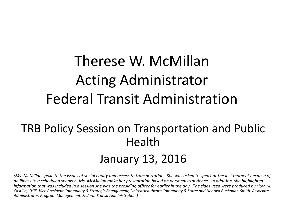## Therese W. McMillan Acting Administrator Federal Transit Administration

### TRB Policy Session on Transportation and Public Health January 13, 2016

*(Ms. McMillan spoke to the issues of social equity and access to transportation. She was asked to speak at the last moment because of an illness to a scheduled speaker. Ms. McMillian make her presentation based on personal experience. In addition, she highlighted information that was included in a session she was the presiding officer for earlier in the day. The sides used were produced by Flora M. Castillo, CHIE, Vice President Community & Strategic Engagement, UnitedHealthcare Community & State; and Henrika Buchanan-Smith, Associate Administrator, Program Management, Federal Transit Administration.)*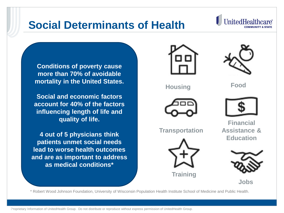

#### **Social and economic factors account for 40% of the factors influencing length of life and quality of life.**

**4 out of 5 physicians think patients unmet social needs lead to worse health outcomes and are as important to address as medical conditions\***

**Transportation**



**Training**

**Financial Assistance & Education**



**Programs Jobs**

\* Robert Wood Johnson Foundation, University of Wisconsin Population Health Institute School of Medicine and Public Health.

2 Proprietary Information of UnitedHealth Group. Do not distribute or reproduce without express permission of UnitedHealth Group.



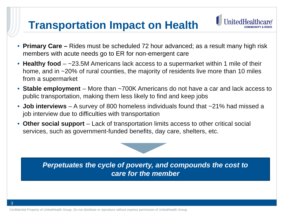#### **Transportation Impact on Health**



- **Primary Care –** Rides must be scheduled 72 hour advanced; as a result many high risk members with acute needs go to ER for non-emergent care
- **Healthy food** ~23.5M Americans lack access to a supermarket within 1 mile of their home, and in ~20% of rural counties, the majority of residents live more than 10 miles from a supermarket
- **Stable employment** More than ~700K Americans do not have a car and lack access to public transportation, making them less likely to find and keep jobs
- **Job interviews** A survey of 800 homeless individuals found that ~21% had missed a job interview due to difficulties with transportation
- **Other social support** Lack of transportation limits access to other critical social services, such as government-funded benefits, day care, shelters, etc.



Confidential Property of UnitedHealth Group. Do not distribute or reproduce without express permission of UnitedHealth Group.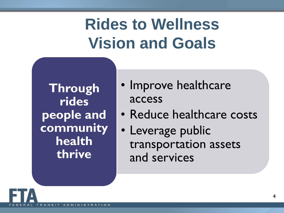## **Rides to Wellness Vision and Goals**

ł

**Through rides people and community health thrive**

- Improve healthcare access
- Reduce healthcare costs
- Leverage public transportation assets and services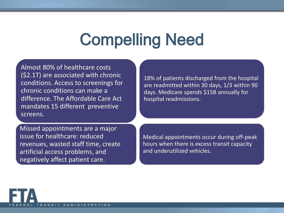## Compelling Need

Almost 80% of healthcare costs (\$2.1T) are associated with chronic conditions. Access to screenings for chronic conditions can make a difference. The Affordable Care Act mandates 15 different preventive screens.

Missed appointments are a major issue for healthcare: reduced revenues, wasted staff time, create artificial access problems, and negatively affect patient care.

18% of patients discharged from the hospital are readmitted within 30 days, 1/3 within 90 days. Medicare spends \$15B annually for hospital readmissions.

Medical appointments occur during off-peak hours when there is excess transit capacity and underutilized vehicles.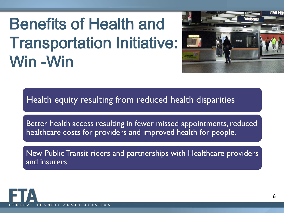# Benefits of Health and Transportation Initiative: Win -Win



Health equity resulting from reduced health disparities

Better health access resulting in fewer missed appointments, reduced healthcare costs for providers and improved health for people.

New Public Transit riders and partnerships with Healthcare providers and insurers

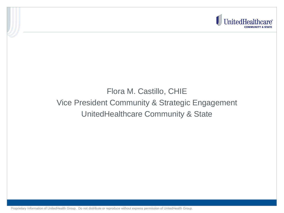

#### Flora M. Castillo, CHIE Vice President Community & Strategic Engagement UnitedHealthcare Community & State

7Proprietary Information of UnitedHealth Group. Do not distribute or reproduce without express permission of UnitedHealth Group.